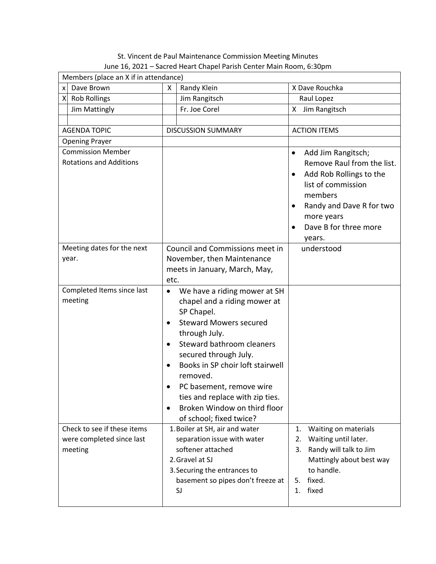| St. Vincent de Paul Maintenance Commission Meeting Minutes          |
|---------------------------------------------------------------------|
| June 16, 2021 – Sacred Heart Chapel Parish Center Main Room, 6:30pm |

|                                                            | Members (place an X if in attendance) |                                     |                                                                                                                                                                                                                                                                                                                                                              |                                     |                                                                                                                                                                                           |  |
|------------------------------------------------------------|---------------------------------------|-------------------------------------|--------------------------------------------------------------------------------------------------------------------------------------------------------------------------------------------------------------------------------------------------------------------------------------------------------------------------------------------------------------|-------------------------------------|-------------------------------------------------------------------------------------------------------------------------------------------------------------------------------------------|--|
| x                                                          | Dave Brown                            | X                                   | Randy Klein                                                                                                                                                                                                                                                                                                                                                  |                                     | X Dave Rouchka                                                                                                                                                                            |  |
| Χ                                                          | <b>Rob Rollings</b>                   |                                     | Jim Rangitsch                                                                                                                                                                                                                                                                                                                                                |                                     | Raul Lopez                                                                                                                                                                                |  |
|                                                            | <b>Jim Mattingly</b>                  |                                     | Fr. Joe Corel                                                                                                                                                                                                                                                                                                                                                | X                                   | Jim Rangitsch                                                                                                                                                                             |  |
|                                                            |                                       |                                     |                                                                                                                                                                                                                                                                                                                                                              |                                     |                                                                                                                                                                                           |  |
| <b>AGENDA TOPIC</b>                                        |                                       | <b>DISCUSSION SUMMARY</b>           |                                                                                                                                                                                                                                                                                                                                                              |                                     | <b>ACTION ITEMS</b>                                                                                                                                                                       |  |
|                                                            | <b>Opening Prayer</b>                 |                                     |                                                                                                                                                                                                                                                                                                                                                              |                                     |                                                                                                                                                                                           |  |
| <b>Commission Member</b><br><b>Rotations and Additions</b> |                                       |                                     |                                                                                                                                                                                                                                                                                                                                                              | $\bullet$<br>$\bullet$<br>$\bullet$ | Add Jim Rangitsch;<br>Remove Raul from the list.<br>Add Rob Rollings to the<br>list of commission<br>members<br>Randy and Dave R for two<br>more years<br>Dave B for three more<br>years. |  |
|                                                            | Meeting dates for the next            |                                     | Council and Commissions meet in                                                                                                                                                                                                                                                                                                                              |                                     | understood                                                                                                                                                                                |  |
| year.                                                      |                                       | November, then Maintenance          |                                                                                                                                                                                                                                                                                                                                                              |                                     |                                                                                                                                                                                           |  |
|                                                            |                                       | meets in January, March, May,       |                                                                                                                                                                                                                                                                                                                                                              |                                     |                                                                                                                                                                                           |  |
|                                                            |                                       | etc.                                |                                                                                                                                                                                                                                                                                                                                                              |                                     |                                                                                                                                                                                           |  |
|                                                            | Completed Items since last<br>meeting | $\bullet$<br>$\bullet$<br>$\bullet$ | We have a riding mower at SH<br>chapel and a riding mower at<br>SP Chapel.<br><b>Steward Mowers secured</b><br>through July.<br>Steward bathroom cleaners<br>secured through July.<br>Books in SP choir loft stairwell<br>removed.<br>PC basement, remove wire<br>ties and replace with zip ties.<br>Broken Window on third floor<br>of school; fixed twice? |                                     |                                                                                                                                                                                           |  |
|                                                            | Check to see if these items           |                                     | 1. Boiler at SH, air and water                                                                                                                                                                                                                                                                                                                               | 1.                                  | Waiting on materials                                                                                                                                                                      |  |
| were completed since last                                  |                                       |                                     | separation issue with water                                                                                                                                                                                                                                                                                                                                  | 2.                                  | Waiting until later.                                                                                                                                                                      |  |
|                                                            | meeting                               |                                     | softener attached<br>2. Gravel at SJ<br>3. Securing the entrances to<br>basement so pipes don't freeze at<br>SJ                                                                                                                                                                                                                                              | 3.<br>5.<br>1.                      | Randy will talk to Jim<br>Mattingly about best way<br>to handle.<br>fixed.<br>fixed                                                                                                       |  |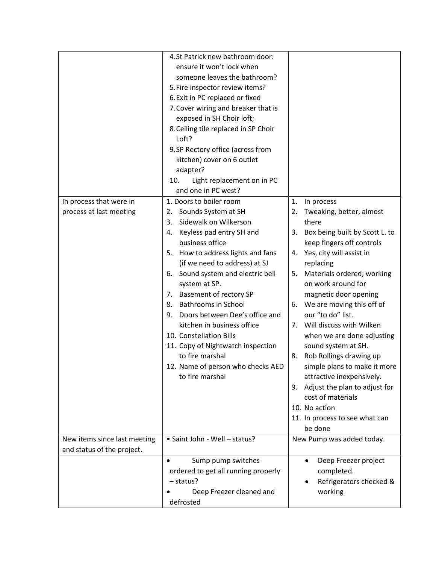|                              | 4.St Patrick new bathroom door:      |                                           |
|------------------------------|--------------------------------------|-------------------------------------------|
|                              | ensure it won't lock when            |                                           |
|                              | someone leaves the bathroom?         |                                           |
|                              | 5. Fire inspector review items?      |                                           |
|                              | 6. Exit in PC replaced or fixed      |                                           |
|                              | 7. Cover wiring and breaker that is  |                                           |
|                              | exposed in SH Choir loft;            |                                           |
|                              | 8. Ceiling tile replaced in SP Choir |                                           |
|                              | Loft?                                |                                           |
|                              | 9.SP Rectory office (across from     |                                           |
|                              | kitchen) cover on 6 outlet           |                                           |
|                              | adapter?                             |                                           |
|                              | Light replacement on in PC<br>10.    |                                           |
|                              | and one in PC west?                  |                                           |
| In process that were in      | 1. Doors to boiler room              | 1.<br>In process                          |
| process at last meeting      | 2. Sounds System at SH               | Tweaking, better, almost<br>2.            |
|                              | Sidewalk on Wilkerson<br>3.          | there                                     |
|                              | Keyless pad entry SH and<br>4.       | Box being built by Scott L. to<br>3.      |
|                              | business office                      | keep fingers off controls                 |
|                              | How to address lights and fans<br>5. | Yes, city will assist in<br>4.            |
|                              | (if we need to address) at SJ        | replacing                                 |
|                              | Sound system and electric bell<br>6. | Materials ordered; working<br>5.          |
|                              | system at SP.                        | on work around for                        |
|                              | <b>Basement of rectory SP</b><br>7.  | magnetic door opening                     |
|                              | <b>Bathrooms in School</b><br>8.     | We are moving this off of<br>6.           |
|                              | 9. Doors between Dee's office and    | our "to do" list.                         |
|                              | kitchen in business office           | Will discuss with Wilken<br>7.            |
|                              | 10. Constellation Bills              | when we are done adjusting                |
|                              | 11. Copy of Nightwatch inspection    | sound system at SH.                       |
|                              | to fire marshal                      | Rob Rollings drawing up<br>8.             |
|                              | 12. Name of person who checks AED    | simple plans to make it more              |
|                              | to fire marshal                      | attractive inexpensively.                 |
|                              |                                      | 9. Adjust the plan to adjust for          |
|                              |                                      | cost of materials                         |
|                              |                                      | 10. No action                             |
|                              |                                      | 11. In process to see what can<br>be done |
| New items since last meeting | • Saint John - Well - status?        | New Pump was added today.                 |
| and status of the project.   |                                      |                                           |
|                              | Sump pump switches<br>$\bullet$      | Deep Freezer project<br>٠                 |
|                              | ordered to get all running properly  | completed.                                |
|                              | - status?                            | Refrigerators checked &                   |
|                              | Deep Freezer cleaned and             | working                                   |
|                              | defrosted                            |                                           |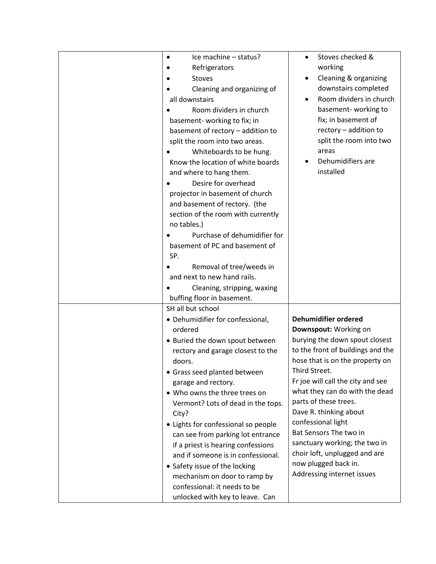| Ice machine - status?<br>Refrigerators<br><b>Stoves</b><br>Cleaning and organizing of<br>all downstairs<br>Room dividers in church<br>basement-working to fix; in<br>basement of rectory - addition to<br>split the room into two areas.<br>Whiteboards to be hung.<br>Know the location of white boards<br>and where to hang them.<br>Desire for overhead<br>projector in basement of church<br>and basement of rectory. (the<br>section of the room with currently<br>no tables.)<br>Purchase of dehumidifier for<br>basement of PC and basement of<br>SP.<br>Removal of tree/weeds in<br>and next to new hand rails.<br>Cleaning, stripping, waxing<br>buffing floor in basement. | Stoves checked &<br>$\bullet$<br>working<br>Cleaning & organizing<br>٠<br>downstairs completed<br>Room dividers in church<br>basement-working to<br>fix; in basement of<br>rectory - addition to<br>split the room into two<br>areas<br>Dehumidifiers are<br>installed                                                                                                                                                                                                     |
|--------------------------------------------------------------------------------------------------------------------------------------------------------------------------------------------------------------------------------------------------------------------------------------------------------------------------------------------------------------------------------------------------------------------------------------------------------------------------------------------------------------------------------------------------------------------------------------------------------------------------------------------------------------------------------------|----------------------------------------------------------------------------------------------------------------------------------------------------------------------------------------------------------------------------------------------------------------------------------------------------------------------------------------------------------------------------------------------------------------------------------------------------------------------------|
| SH all but school<br>• Dehumidifier for confessional,<br>ordered<br>• Buried the down spout between<br>rectory and garage closest to the<br>doors.<br>• Grass seed planted between<br>garage and rectory.<br>. Who owns the three trees on<br>Vermont? Lots of dead in the tops.<br>City?<br>• Lights for confessional so people<br>can see from parking lot entrance<br>if a priest is hearing confessions<br>and if someone is in confessional.<br>• Safety issue of the locking<br>mechanism on door to ramp by<br>confessional: it needs to be<br>unlocked with key to leave. Can                                                                                                | Dehumidifier ordered<br>Downspout: Working on<br>burying the down spout closest<br>to the front of buildings and the<br>hose that is on the property on<br>Third Street.<br>Fr joe will call the city and see<br>what they can do with the dead<br>parts of these trees.<br>Dave R. thinking about<br>confessional light<br>Bat Sensors The two in<br>sanctuary working; the two in<br>choir loft, unplugged and are<br>now plugged back in.<br>Addressing internet issues |